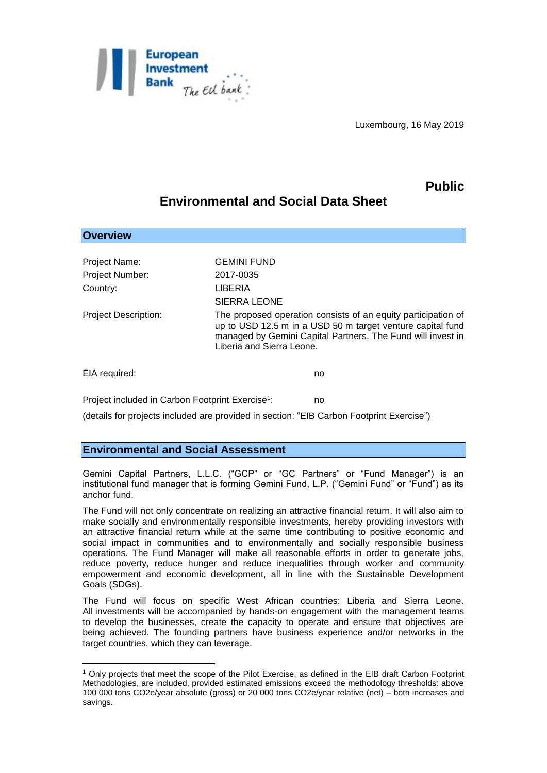

Luxembourg, 16 May 2019

## **Public**

## **Environmental and Social Data Sheet**

| <b>Overview</b>                                              |                                                                                                                                                                                                                         |
|--------------------------------------------------------------|-------------------------------------------------------------------------------------------------------------------------------------------------------------------------------------------------------------------------|
| Project Name:                                                | <b>GEMINI FUND</b>                                                                                                                                                                                                      |
| <b>Project Number:</b>                                       | 2017-0035                                                                                                                                                                                                               |
| Country:                                                     | LIBERIA                                                                                                                                                                                                                 |
|                                                              | SIERRA LEONE                                                                                                                                                                                                            |
| <b>Project Description:</b>                                  | The proposed operation consists of an equity participation of<br>up to USD 12.5 m in a USD 50 m target venture capital fund<br>managed by Gemini Capital Partners. The Fund will invest in<br>Liberia and Sierra Leone. |
| EIA required:                                                | no                                                                                                                                                                                                                      |
| Project included in Carbon Footprint Exercise <sup>1</sup> : | no                                                                                                                                                                                                                      |

(details for projects included are provided in section: "EIB Carbon Footprint Exercise")

## **Environmental and Social Assessment**

1

Gemini Capital Partners, L.L.C. ("GCP" or "GC Partners" or "Fund Manager") is an institutional fund manager that is forming Gemini Fund, L.P. ("Gemini Fund" or "Fund") as its anchor fund.

The Fund will not only concentrate on realizing an attractive financial return. It will also aim to make socially and environmentally responsible investments, hereby providing investors with an attractive financial return while at the same time contributing to positive economic and social impact in communities and to environmentally and socially responsible business operations. The Fund Manager will make all reasonable efforts in order to generate jobs, reduce poverty, reduce hunger and reduce inequalities through worker and community empowerment and economic development, all in line with the Sustainable Development Goals (SDGs).

The Fund will focus on specific West African countries: Liberia and Sierra Leone. All investments will be accompanied by hands-on engagement with the management teams to develop the businesses, create the capacity to operate and ensure that objectives are being achieved. The founding partners have business experience and/or networks in the target countries, which they can leverage.

<sup>1</sup> Only projects that meet the scope of the Pilot Exercise, as defined in the EIB draft Carbon Footprint Methodologies, are included, provided estimated emissions exceed the methodology thresholds: above 100 000 tons CO2e/year absolute (gross) or 20 000 tons CO2e/year relative (net) – both increases and savings.